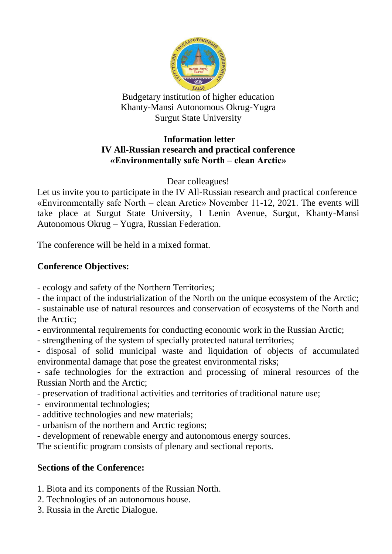

Budgetary institution of higher education Khanty-Mansi Autonomous Okrug-Yugra Surgut State University

## **Information letter IV All-Russian research and practical conference «Environmentally safe North – clean Arctic»**

Dear colleagues!

Let us invite you to participate in the IV All-Russian research and practical conference «Environmentally safe North – clean Arctic» November 11-12, 2021. The events will take place at Surgut State University, 1 Lenin Avenue, Surgut, Khanty-Mansi Autonomous Okrug – Yugra, Russian Federation.

The conference will be held in a mixed format.

# **Conference Objectives:**

- ecology and safety of the Northern Territories;

- the impact of the industrialization of the North on the unique ecosystem of the Arctic;

- sustainable use of natural resources and conservation of ecosystems of the North and the Arctic;

- environmental requirements for conducting economic work in the Russian Arctic;

- strengthening of the system of specially protected natural territories;

- disposal of solid municipal waste and liquidation of objects of accumulated environmental damage that pose the greatest environmental risks;

- safe technologies for the extraction and processing of mineral resources of the Russian North and the Arctic;

- preservation of traditional activities and territories of traditional nature use;

- environmental technologies;
- additive technologies and new materials;
- urbanism of the northern and Arctic regions;
- development of renewable energy and autonomous energy sources.

The scientific program consists of plenary and sectional reports.

# **Sections of the Conference:**

- 1. Biota and its components of the Russian North.
- 2. Technologies of an autonomous house.
- 3. Russia in the Arctic Dialogue.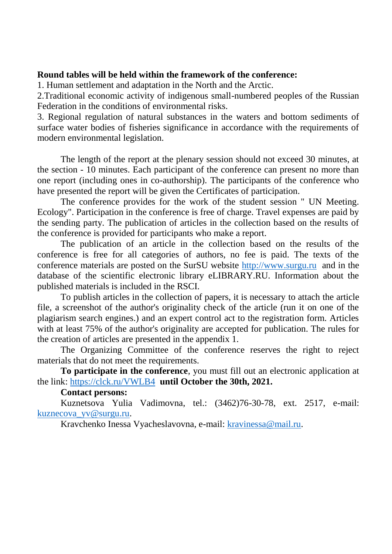#### **Round tables will be held within the framework of the conference:**

1. Human settlement and adaptation in the North and the Arctic.

2.Traditional economic activity of indigenous small-numbered peoples of the Russian Federation in the conditions of environmental risks.

3. Regional regulation of natural substances in the waters and bottom sediments of surface water bodies of fisheries significance in accordance with the requirements of modern environmental legislation.

The length of the report at the plenary session should not exceed 30 minutes, at the section - 10 minutes. Each participant of the conference can present no more than one report (including ones in co-authorship). The participants of the conference who have presented the report will be given the Certificates of participation.

The conference provides for the work of the student session " UN Meeting. Ecology". Participation in the conference is free of charge. Travel expenses are paid by the sending party. The publication of articles in the collection based on the results of the conference is provided for participants who make a report.

The publication of an article in the collection based on the results of the conference is free for all categories of authors, no fee is paid. The texts of the conference materials are posted on the SurSU website [http://www.surgu.ru](http://www.surgu.ru/) and in the database of the scientific electronic library eLIBRARY.RU. Information about the published materials is included in the RSCI.

To publish articles in the collection of papers, it is necessary to attach the article file, a screenshot of the author's originality check of the article (run it on one of the plagiarism search engines.) and an expert control act to the registration form. Articles with at least 75% of the author's originality are accepted for publication. The rules for the creation of articles are presented in the appendix 1.

The Organizing Committee of the conference reserves the right to reject materials that do not meet the requirements.

**To participate in the conference**, you must fill out an electronic application at the link:<https://clck.ru/VWLB4>**until October the 30th, 2021.**

## **Contact persons:**

Kuznetsova Yulia Vadimovna, tel.: (3462)76-30-78, ext. 2517, e-mail: [kuznecova\\_yv@surgu.ru.](mailto:kuznecova_yv@surgu.ru)

Kravchenko Inessa Vyacheslavovna, e-mail: [kravinessa@mail.ru.](mailto:kravinessa@mail.ru)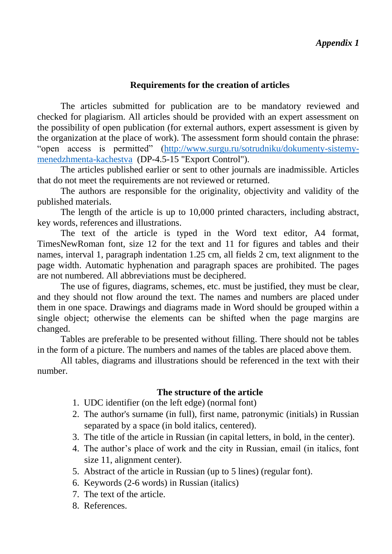## **Requirements for the creation of articles**

The articles submitted for publication are to be mandatory reviewed and checked for plagiarism. All articles should be provided with an expert assessment on the possibility of open publication (for external authors, expert assessment is given by the organization at the place of work). The assessment form should contain the phrase: "open access is permitted" [\(http://www.surgu.ru/sotrudniku/dokumenty-sistemy](http://www.surgu.ru/sotrudniku/dokumenty-sistemy-menedzhmenta-kachestva)[menedzhmenta-kachestva](http://www.surgu.ru/sotrudniku/dokumenty-sistemy-menedzhmenta-kachestva) (DP-4.5-15 "Export Control").

The articles published earlier or sent to other journals are inadmissible. Articles that do not meet the requirements are not reviewed or returned.

The authors are responsible for the originality, objectivity and validity of the published materials.

The length of the article is up to 10,000 printed characters, including abstract, key words, references and illustrations.

The text of the article is typed in the Word text editor, A4 format, TimesNewRoman font, size 12 for the text and 11 for figures and tables and their names, interval 1, paragraph indentation 1.25 cm, all fields 2 cm, text alignment to the page width. Automatic hyphenation and paragraph spaces are prohibited. The pages are not numbered. All abbreviations must be deciphered.

The use of figures, diagrams, schemes, etc. must be justified, they must be clear, and they should not flow around the text. The names and numbers are placed under them in one space. Drawings and diagrams made in Word should be grouped within a single object; otherwise the elements can be shifted when the page margins are changed.

Tables are preferable to be presented without filling. There should not be tables in the form of a picture. The numbers and names of the tables are placed above them.

All tables, diagrams and illustrations should be referenced in the text with their number.

## **The structure of the article**

- 1. UDC identifier (on the left edge) (normal font)
- 2. The author's surname (in full), first name, patronymic (initials) in Russian separated by a space (in bold italics, centered).
- 3. The title of the article in Russian (in capital letters, in bold, in the center).
- 4. The author's place of work and the city in Russian, email (in italics, font size 11, alignment center).
- 5. Abstract of the article in Russian (up to 5 lines) (regular font).
- 6. Keywords (2-6 words) in Russian (italics)
- 7. The text of the article.
- 8. References.